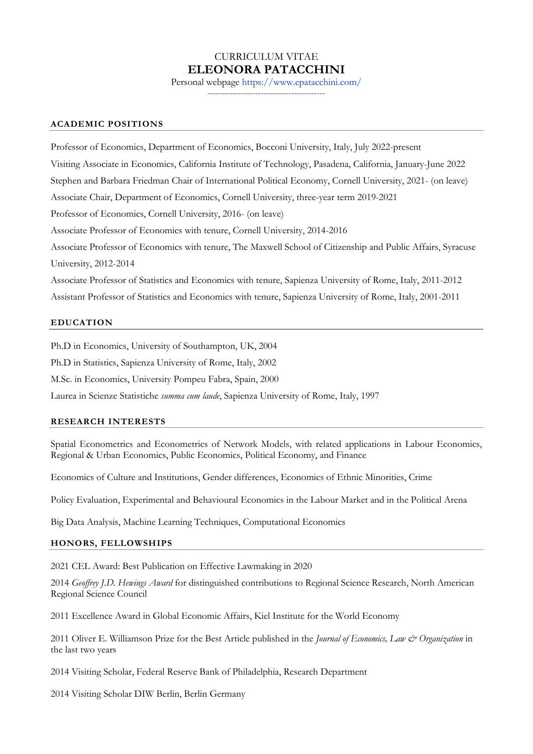# CURRICULUM VITAE **ELEONORA PATACCHINI**

Personal webpage https://www.epatacchini.com*/*

------------------------------------------

#### **ACADEMIC POSITIONS**

Professor of Economics, Department of Economics, Bocconi University, Italy, July 2022-present Visiting Associate in Economics, California Institute of Technology, Pasadena, California, January-June 2022 Stephen and Barbara Friedman Chair of International Political Economy, Cornell University, 2021- (on leave) Associate Chair, Department of Economics, Cornell University, three-year term 2019-2021 Professor of Economics, Cornell University, 2016- (on leave) Associate Professor of Economics with tenure, Cornell University, 2014-2016 Associate Professor of Economics with tenure, The Maxwell School of Citizenship and Public Affairs, Syracuse University, 2012-2014 Associate Professor of Statistics and Economics with tenure, Sapienza University of Rome, Italy, 2011-2012 Assistant Professor of Statistics and Economics with tenure, Sapienza University of Rome, Italy, 2001-2011

#### **EDUCATION**

Ph.D in Economics, University of Southampton, UK, 2004 Ph.D in Statistics, Sapienza University of Rome, Italy, 2002

M.Sc. in Economics, University Pompeu Fabra, Spain, 2000

Laurea in Scienze Statistiche *summa cum laude*, Sapienza University of Rome, Italy, 1997

#### **RESEARCH INTERESTS**

Spatial Econometrics and Econometrics of Network Models, with related applications in Labour Economics, Regional & Urban Economics, Public Economics, Political Economy, and Finance

Economics of Culture and Institutions, Gender differences, Economics of Ethnic Minorities, Crime

Policy Evaluation, Experimental and Behavioural Economics in the Labour Market and in the Political Arena

Big Data Analysis, Machine Learning Techniques, Computational Economics

#### **HONORS, FELLOWSHIPS**

2021 CEL Award: Best Publication on Effective Lawmaking in 2020

2014 *Geoffrey J.D. Hewings Award* for distinguished contributions to Regional Science Research, North American Regional Science Council

2011 Excellence Award in Global Economic Affairs, Kiel Institute for the World Economy

2011 Oliver E. Williamson Prize for the Best Article published in the *Journal of Economics, Law & Organization* in the last two years

2014 Visiting Scholar, Federal Reserve Bank of Philadelphia, Research Department

2014 Visiting Scholar DIW Berlin, Berlin Germany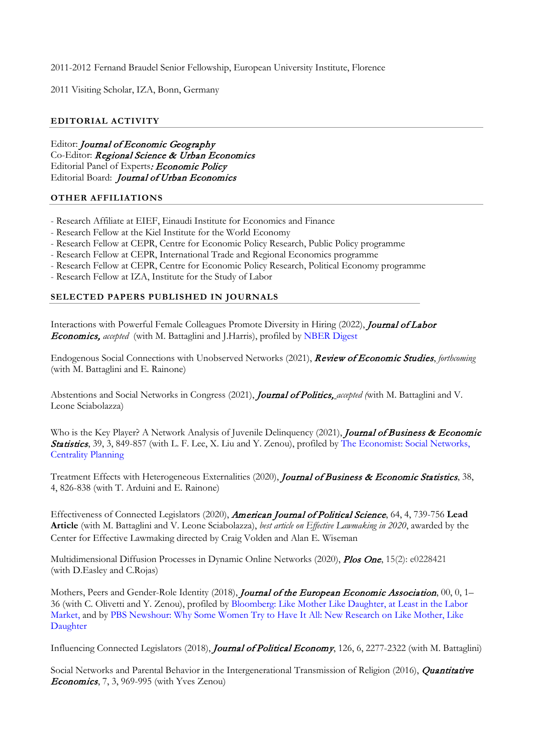2011-2012 Fernand Braudel Senior Fellowship, European University Institute, Florence

2011 Visiting Scholar, IZA, Bonn, Germany

## **EDITORIAL ACTIVITY**

Editor: Journal of Economic Geography Co-Editor: Regional Science & Urban Economics Editorial Panel of Experts: Economic Policy Editorial Board: Journal of Urban Economics

## **OTHER AFFILIATIONS**

- Research Affiliate at EIEF, Einaudi Institute for Economics and Finance
- Research Fellow at the Kiel Institute for the World Economy
- Research Fellow at CEPR, Centre for Economic Policy Research, Public Policy programme
- Research Fellow at CEPR, International Trade and Regional Economics programme
- Research Fellow at CEPR, Centre for Economic Policy Research, Political Economy programme
- Research Fellow at IZA, Institute for the Study of Labor

## **SELECTED PAPERS PUBLISHED IN JOURNALS**

Interactions with Powerful Female Colleagues Promote Diversity in Hiring (2022), *Journal of Labor* Economics, *accepted* (with M. Battaglini and J.Harris), profiled by NBER Digest

Endogenous Social Connections with Unobserved Networks (2021), Review of Economic Studies, *forthcoming* (with M. Battaglini and E. Rainone)

Abstentions and Social Networks in Congress (2021), Journal of Politics, *accepted (*with M. Battaglini and V. Leone Sciabolazza)

Who is the Key Player? A Network Analysis of Juvenile Delinquency (2021), Journal of Business & Economic Statistics, 39, 3, 849-857 (with L. F. Lee, X. Liu and Y. Zenou), profiled by The Economist: Social Networks, Centrality Planning

Treatment Effects with Heterogeneous Externalities (2020), Journal of Business & Economic Statistics, 38, 4, 826-838 (with T. Arduini and E. Rainone)

Effectiveness of Connected Legislators (2020), American Journal of Political Science, 64, 4, 739-756 **Lead Article** (with M. Battaglini and V. Leone Sciabolazza), *best article on Effective Lawmaking in 2020*, awarded by the Center for Effective Lawmaking directed by Craig Volden and Alan E. Wiseman

Multidimensional Diffusion Processes in Dynamic Online Networks (2020), Plos One, 15(2): e0228421 (with D.Easley and C.Rojas)

Mothers, Peers and Gender-Role Identity (2018), Journal of the European Economic Association, 00, 0, 1-36 (with C. Olivetti and Y. Zenou), profiled by Bloomberg: Like Mother Like Daughter, at Least in the Labor Market, and by PBS Newshour: Why Some Women Try to Have It All: New Research on Like Mother, Like Daughter

Influencing Connected Legislators (2018), *Journal of Political Economy*, 126, 6, 2277-2322 (with M. Battaglini)

Social Networks and Parental Behavior in the Intergenerational Transmission of Religion (2016), *Quantitative* **Economics**, 7, 3, 969-995 (with Yves Zenou)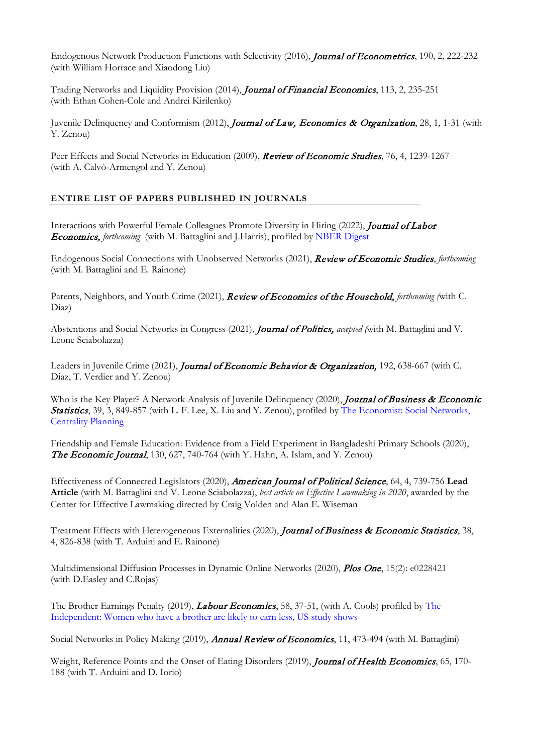Endogenous Network Production Functions with Selectivity (2016), Journal of Econometrics, 190, 2, 222-232 (with William Horrace and Xiaodong Liu)

Trading Networks and Liquidity Provision (2014), Journal of Financial Economics, 113, 2, 235-251 (with Ethan Cohen-Cole and Andrei Kirilenko)

Juvenile Delinquency and Conformism (2012), *Journal of Law, Economics & Organization*, 28, 1, 1-31 (with Y. Zenou)

Peer Effects and Social Networks in Education (2009), *Review of Economic Studies*, 76, 4, 1239-1267 (with A. Calvò-Armengol and Y. Zenou)

# **ENTIRE LIST OF PAPERS PUBLISHED IN JOURNALS**

Interactions with Powerful Female Colleagues Promote Diversity in Hiring (2022), *Journal of Labor* Economics, *forthcoming* (with M. Battaglini and J.Harris), profiled by NBER Digest

Endogenous Social Connections with Unobserved Networks (2021), Review of Economic Studies, *forthcoming* (with M. Battaglini and E. Rainone)

Parents, Neighbors, and Youth Crime (2021), Review of Economics of the Household, *forthcoming (*with C. Diaz)

Abstentions and Social Networks in Congress (2021), Journal of Politics, *accepted (*with M. Battaglini and V. Leone Sciabolazza)

Leaders in Juvenile Crime (2021), Journal of Economic Behavior & Organization, 192, 638-667 (with C. Diaz, T. Verdier and Y. Zenou)

Who is the Key Player? A Network Analysis of Juvenile Delinquency (2020), *Journal of Business & Economic* Statistics, 39, 3, 849-857 (with L. F. Lee, X. Liu and Y. Zenou), profiled by The Economist: Social Networks, Centrality Planning

Friendship and Female Education: Evidence from a Field Experiment in Bangladeshi Primary Schools (2020), **The Economic Journal,** 130, 627, 740-764 (with Y. Hahn,  $\overline{A}$ . Islam, and Y. Zenou)

Effectiveness of Connected Legislators (2020), American Journal of Political Science, 64, 4, 739-756 **Lead Article** (with M. Battaglini and V. Leone Sciabolazza), *best article on Effective Lawmaking in 2020*, awarded by the Center for Effective Lawmaking directed by Craig Volden and Alan E. Wiseman

Treatment Effects with Heterogeneous Externalities (2020), Journal of Business & Economic Statistics, 38, 4, 826-838 (with T. Arduini and E. Rainone)

Multidimensional Diffusion Processes in Dynamic Online Networks (2020), Plos One, 15(2): e0228421 (with D.Easley and C.Rojas)

The Brother Earnings Penalty (2019), *Labour Economics*, 58, 37-51, (with A. Cools) profiled by The Independent: Women who have a brother are likely to earn less, US study shows

Social Networks in Policy Making (2019), *Annual Review of Economics*, 11, 473-494 (with M. Battaglini)

Weight, Reference Points and the Onset of Eating Disorders (2019), Journal of Health Economics, 65, 170-188 (with T. Arduini and D. Iorio)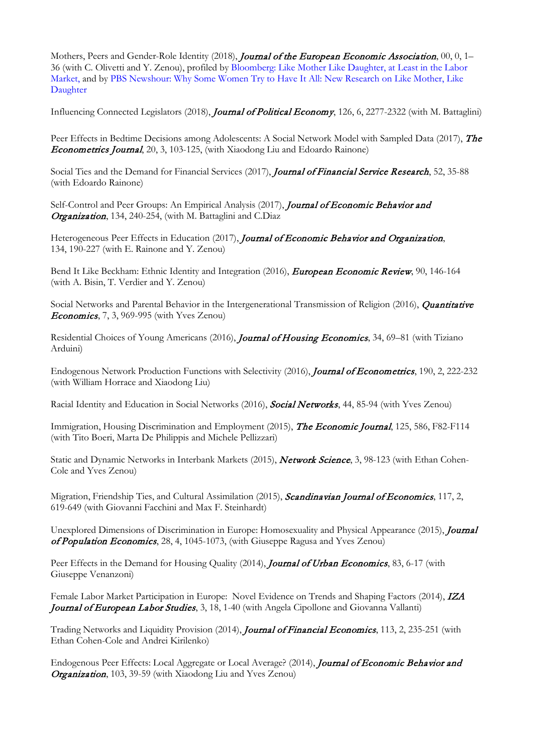Mothers, Peers and Gender-Role Identity (2018), *Journal of the European Economic Association*, 00, 0, 1– 36 (with C. Olivetti and Y. Zenou), profiled by Bloomberg: Like Mother Like Daughter, at Least in the Labor Market, and by PBS Newshour: Why Some Women Try to Have It All: New Research on Like Mother, Like Daughter

Influencing Connected Legislators (2018), Journal of Political Economy, 126, 6, 2277-2322 (with M. Battaglini)

Peer Effects in Bedtime Decisions among Adolescents: A Social Network Model with Sampled Data (2017), The Econometrics Journal, 20, 3, 103-125, (with Xiaodong Liu and Edoardo Rainone)

Social Ties and the Demand for Financial Services (2017), Journal of Financial Service Research, 52, 35-88 (with Edoardo Rainone)

Self-Control and Peer Groups: An Empirical Analysis (2017), Journal of Economic Behavior and Organization, 134, 240-254, (with M. Battaglini and C.Diaz

Heterogeneous Peer Effects in Education (2017), Journal of Economic Behavior and Organization, 134, 190-227 (with E. Rainone and Y. Zenou)

Bend It Like Beckham: Ethnic Identity and Integration (2016), European Economic Review, 90, 146-164 (with A. Bisin, T. Verdier and Y. Zenou)

Social Networks and Parental Behavior in the Intergenerational Transmission of Religion (2016), *Quantitative* **Economics**, 7, 3, 969-995 (with Yves Zenou)

Residential Choices of Young Americans (2016), *Journal of Housing Economics*, 34, 69-81 (with Tiziano Arduini)

Endogenous Network Production Functions with Selectivity (2016), Journal of Econometrics, 190, 2, 222-232 (with William Horrace and Xiaodong Liu)

Racial Identity and Education in Social Networks (2016), Social Networks, 44, 85-94 (with Yves Zenou)

Immigration, Housing Discrimination and Employment (2015), **The Economic Journal**, 125, 586, F82-F114 (with Tito Boeri, Marta De Philippis and Michele Pellizzari)

Static and Dynamic Networks in Interbank Markets (2015), Network Science, 3, 98-123 (with Ethan Cohen-Cole and Yves Zenou)

Migration, Friendship Ties, and Cultural Assimilation (2015), Scandinavian Journal of Economics, 117, 2, 619-649 (with Giovanni Facchini and Max F. Steinhardt)

Unexplored Dimensions of Discrimination in Europe: Homosexuality and Physical Appearance (2015), *Journal* of Population Economics, 28, 4, 1045-1073, (with Giuseppe Ragusa and Yves Zenou)

Peer Effects in the Demand for Housing Quality (2014), Journal of Urban Economics, 83, 6-17 (with Giuseppe Venanzoni)

Female Labor Market Participation in Europe: Novel Evidence on Trends and Shaping Factors (2014), IZA Journal of European Labor Studies, 3, 18, 1-40 (with Angela Cipollone and Giovanna Vallanti)

Trading Networks and Liquidity Provision (2014), Journal of Financial Economics, 113, 2, 235-251 (with Ethan Cohen-Cole and Andrei Kirilenko)

Endogenous Peer Effects: Local Aggregate or Local Average? (2014), *Journal of Economic Behavior and* Organization, 103, 39-59 (with Xiaodong Liu and Yves Zenou)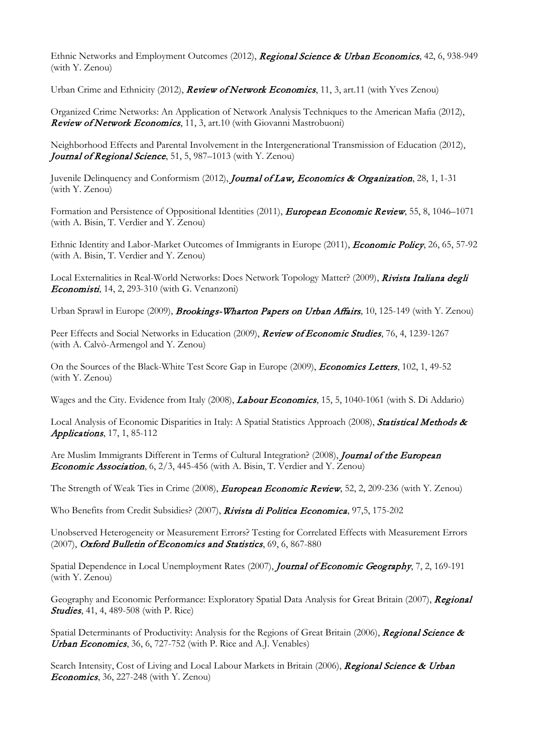Ethnic Networks and Employment Outcomes (2012), Regional Science & Urban Economics, 42, 6, 938-949 (with Y. Zenou)

Urban Crime and Ethnicity (2012), Review of Network Economics, 11, 3, art.11 (with Yves Zenou)

Organized Crime Networks: An Application of Network Analysis Techniques to the American Mafia (2012), Review of Network Economics, 11, 3, art.10 (with Giovanni Mastrobuoni)

Neighborhood Effects and Parental Involvement in the Intergenerational Transmission of Education (2012), Journal of Regional Science, 51, 5, 987-1013 (with Y. Zenou)

Juvenile Delinquency and Conformism (2012), *Journal of Law, Economics & Organization*, 28, 1, 1-31 (with Y. Zenou)

Formation and Persistence of Oppositional Identities (2011), *European Economic Review*, 55, 8, 1046–1071 (with A. Bisin, T. Verdier and Y. Zenou)

Ethnic Identity and Labor-Market Outcomes of Immigrants in Europe (2011), *Economic Policy*, 26, 65, 57-92 (with A. Bisin, T. Verdier and Y. Zenou)

Local Externalities in Real-World Networks: Does Network Topology Matter? (2009), Rivista Italiana degli Economisti, 14, 2, 293-310 (with G. Venanzoni)

Urban Sprawl in Europe (2009), *Brookings-Wharton Papers on Urban Affairs*, 10, 125-149 (with Y. Zenou)

Peer Effects and Social Networks in Education (2009), *Review of Economic Studies*, 76, 4, 1239-1267 (with A. Calvò-Armengol and Y. Zenou)

On the Sources of the Black-White Test Score Gap in Europe (2009), *Economics Letters*, 102, 1, 49-52 (with Y. Zenou)

Wages and the City. Evidence from Italy (2008), *Labour Economics*, 15, 5, 1040-1061 (with S. Di Addario)

Local Analysis of Economic Disparities in Italy: A Spatial Statistics Approach (2008), **Statistical Methods &** Applications, 17, 1, 85-112

Are Muslim Immigrants Different in Terms of Cultural Integration? (2008), Journal of the European Economic Association, 6, 2/3, 445-456 (with A. Bisin, T. Verdier and Y. Zenou)

The Strength of Weak Ties in Crime (2008), *European Economic Review*, 52, 2, 209-236 (with Y. Zenou)

Who Benefits from Credit Subsidies? (2007), Rivista di Politica Economica, 97,5, 175-202

Unobserved Heterogeneity or Measurement Errors? Testing for Correlated Effects with Measurement Errors (2007), Oxford Bulletin of Economics and Statistics, 69, 6, 867-880

Spatial Dependence in Local Unemployment Rates (2007), Journal of Economic Geography, 7, 2, 169-191 (with Y. Zenou)

Geography and Economic Performance: Exploratory Spatial Data Analysis for Great Britain (2007), Regional **Studies**, 41, 4, 489-508 (with P. Rice)

Spatial Determinants of Productivity: Analysis for the Regions of Great Britain (2006), Regional Science & Urban Economics, 36, 6, 727-752 (with P. Rice and A.J. Venables)

Search Intensity, Cost of Living and Local Labour Markets in Britain (2006), Regional Science & Urban Economics, 36, 227-248 (with Y. Zenou)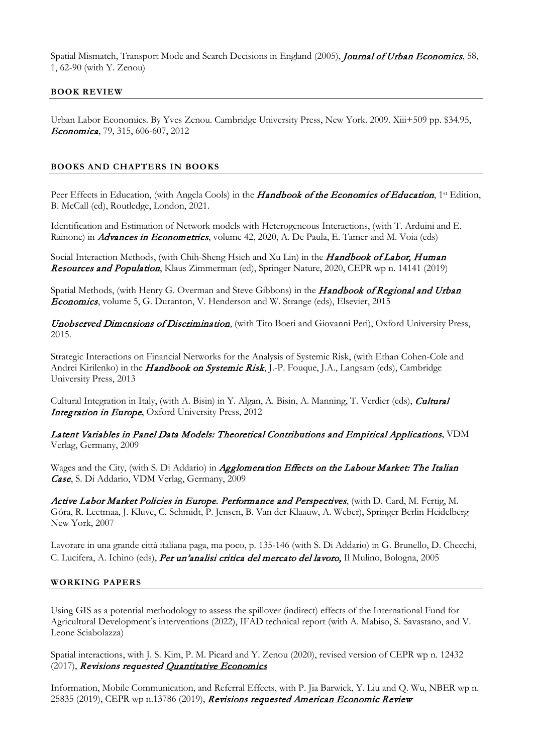Spatial Mismatch, Transport Mode and Search Decisions in England (2005), Journal of Urban Economics, 58, 1, 62-90 (with Y. Zenou)

### **BOOK REVIEW**

Urban Labor Economics. By Yves Zenou. Cambridge University Press, New York. 2009. Xiii+509 pp. \$34.95, Economica, 79, 315, 606-607, 2012

#### **BOOKS AND CHAPTERS IN BOOKS**

Peer Effects in Education, (with Angela Cools) in the **Handbook of the Economics of Education**, 1st Edition, B. McCall (ed), Routledge, London, 2021.

Identification and Estimation of Network models with Heterogeneous Interactions, (with T. Arduini and E. Rainone) in *Advances in Econometrics*, volume 42, 2020, A. De Paula, E. Tamer and M. Voia (eds)

Social Interaction Methods, (with Chih-Sheng Hsieh and Xu Lin) in the Handbook of Labor, Human Resources and Population, Klaus Zimmerman (ed), Springer Nature, 2020, CEPR wp n. 14141 (2019)

Spatial Methods, (with Henry G. Overman and Steve Gibbons) in the Handbook of Regional and Urban Economics, volume 5, G. Duranton, V. Henderson and W. Strange (eds), Elsevier, 2015

Unobserved Dimensions of Discrimination, (with Tito Boeri and Giovanni Peri), Oxford University Press, 2015.

Strategic Interactions on Financial Networks for the Analysis of Systemic Risk, (with Ethan Cohen-Cole and Andrei Kirilenko) in the *Handbook on Systemic Risk*, J.-P. Fouque, J.A., Langsam (eds), Cambridge University Press, 2013

Cultural Integration in Italy, (with A. Bisin) in Y. Algan, A. Bisin, A. Manning, T. Verdier (eds), *Cultural* Integration in Europe, Oxford University Press, 2012

## Latent Variables in Panel Data Models: Theoretical Contributions and Empirical Applications, VDM Verlag, Germany, 2009

Wages and the City, (with S. Di Addario) in *Agglomeration Effects on the Labour Market: The Italian* Case, S. Di Addario, VDM Verlag, Germany, 2009

Active Labor Market Policies in Europe. Performance and Perspectives, (with D. Card, M. Fertig, M. Góra, R. Leetmaa, J. Kluve, C. Schmidt, P. Jensen, B. Van der Klaauw, A. Weber), Springer Berlin Heidelberg New York, 2007

Lavorare in una grande città italiana paga, ma poco, p. 135-146 (with S. Di Addario) in G. Brunello, D. Checchi, C. Lucifera, A. Ichino (eds), *Per un'analisi critica del mercato del lavoro*, Il Mulino, Bologna, 2005

#### **WORKING PAPERS**

Using GIS as a potential methodology to assess the spillover (indirect) effects of the International Fund for Agricultural Development's interventions (2022), IFAD technical report (with A. Mabiso, S. Savastano, and V. Leone Sciabolazza)

Spatial interactions, with J. S. Kim, P. M. Picard and Y. Zenou (2020), revised version of CEPR wp n. 12432 (2017), Revisions requested Quantitative Economics

Information, Mobile Communication, and Referral Effects, with P. Jia Barwick, Y. Liu and Q. Wu, NBER wp n. 25835 (2019), CEPR wp n.13786 (2019), Revisions requested American Economic Review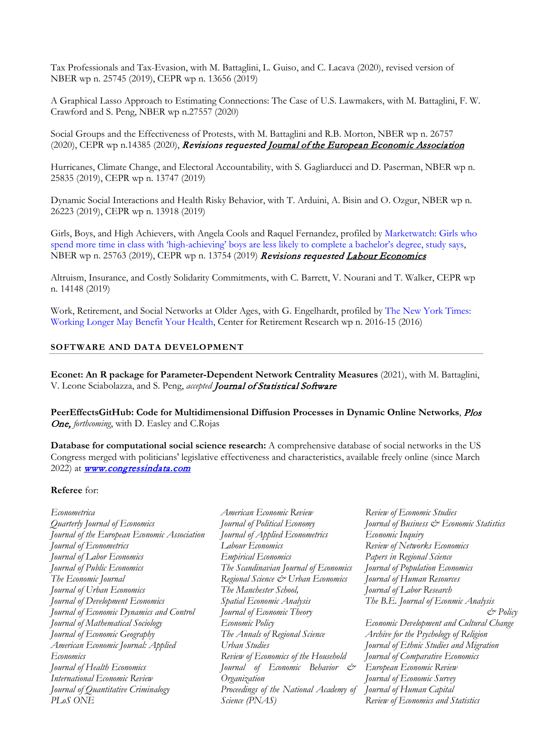Tax Professionals and Tax-Evasion, with M. Battaglini, L. Guiso, and C. Lacava (2020), revised version of NBER wp n. 25745 (2019), CEPR wp n. 13656 (2019)

A Graphical Lasso Approach to Estimating Connections: The Case of U.S. Lawmakers, with M. Battaglini, F. W. Crawford and S. Peng, NBER wp n.27557 (2020)

Social Groups and the Effectiveness of Protests, with M. Battaglini and R.B. Morton, NBER wp n. 26757 (2020), CEPR wp n.14385 (2020), Revisions requested Journal of the European Economic Association

Hurricanes, Climate Change, and Electoral Accountability, with S. Gagliarducci and D. Paserman, NBER wp n. 25835 (2019), CEPR wp n. 13747 (2019)

Dynamic Social Interactions and Health Risky Behavior, with T. Arduini, A. Bisin and O. Ozgur, NBER wp n. 26223 (2019), CEPR wp n. 13918 (2019)

Girls, Boys, and High Achievers, with Angela Cools and Raquel Fernandez, profiled by Marketwatch: Girls who spend more time in class with 'high-achieving' boys are less likely to complete a bachelor's degree, study says, NBER wp n. 25763 (2019), CEPR wp n. 13754 (2019) Revisions requested Labour Economics

Altruism, Insurance, and Costly Solidarity Commitments, with C. Barrett, V. Nourani and T. Walker, CEPR wp n. 14148 (2019)

Work, Retirement, and Social Networks at Older Ages, with G. Engelhardt, profiled by The New York Times: Working Longer May Benefit Your Health, Center for Retirement Research wp n. 2016-15 (2016)

#### **SOFTWARE AND DATA DEVELOPMENT**

**Econet: An R package for Parameter-Dependent Network Centrality Measures** (2021), with M. Battaglini, V. Leone Sciabolazza, and S. Peng, *accepted* Journal of Statistical Software

**PeerEffectsGitHub: Code for Multidimensional Diffusion Processes in Dynamic Online Networks**, Plos One, *forthcoming*, with D. Easley and C.Rojas

**Database for computational social science research:** A comprehensive database of social networks in the US Congress merged with politicians' legislative effectiveness and characteristics, available freely online (since March 2022) at **www.congressindata.com** 

#### **Referee** for:

| Econometrica                                 | American Economic Review               | Review of Economic Studies                |
|----------------------------------------------|----------------------------------------|-------------------------------------------|
| Quarterly Journal of Economics               | Journal of Political Economy           | Journal of Business & Economic Statistics |
| Journal of the European Economic Association | Journal of Applied Econometrics        | Economic Inquiry                          |
| Journal of Econometrics                      | Labour Economics                       | Review of Networks Economics              |
| Journal of Labor Economics                   | <b>Empirical Economics</b>             | Papers in Regional Science                |
| Journal of Public Economics                  | The Scandinavian Journal of Economics  | Journal of Population Economics           |
| The Economic Journal                         | Regional Science & Urban Economics     | Journal of Human Resources                |
| Journal of Urban Economics                   | The Manchester School,                 | Journal of Labor Research                 |
| Journal of Development Economics             | Spatial Economic Analysis              | The B.E. Journal of Econmic Analysis      |
| Journal of Economic Dynamics and Control     | Journal of Economic Theory             | $\mathcal{O}$ Policy                      |
| Journal of Mathematical Sociology            | Economic Policy                        | Economic Development and Cultural Change  |
| Journal of Economic Geography                | The Annals of Regional Science         | Archive for the Psychology of Religion    |
| American Economic Journal: Applied           | Urban Studies                          | Journal of Ethnic Studies and Migration   |
| Economics                                    | Review of Economics of the Household   | Journal of Comparative Economics          |
| Journal of Health Economics                  | Journal of Economic Behavior &         | European Economic Review                  |
| International Economic Review                | Organization                           | Journal of Economic Survey                |
| Journal of Quantitative Criminalogy          | Proceedings of the National Academy of | Journal of Human Capital                  |
| PLoS ONE                                     | Science (PNAS)                         | Review of Economics and Statistics        |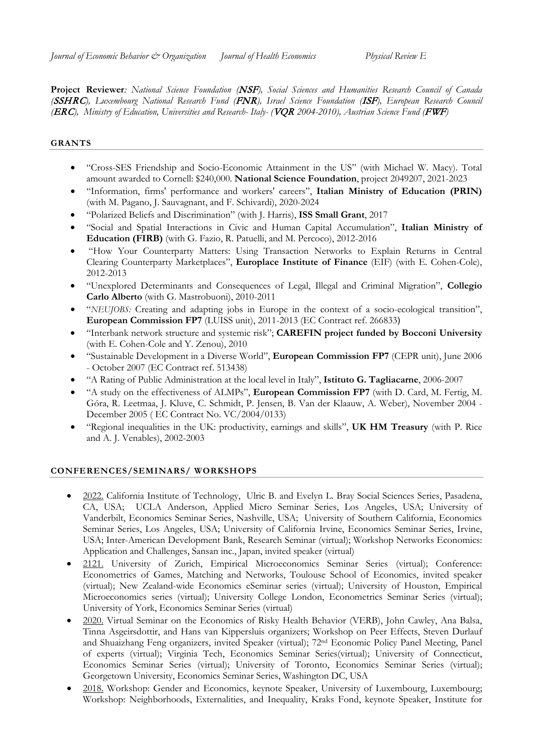**Project Reviewer***: National Science Foundation (*NSF*), Social Sciences and Humanities Research Council of Canada (*SSHRC*), Luxembourg National Research Fund (*FNR*), Israel Science Foundation (*ISF*), European Research Council (*ERC*), [Ministry of Education, Universities and Research-](http://en.wikipedia.org/wiki/Ministry_of_Education,_Universities_and_Research_%28Italy%29) Italy- (*VQR *2004-2010), Austrian Science Fund (*FWF*)*

## **GRANTS**

- "Cross-SES Friendship and Socio-Economic Attainment in the US" (with Michael W. Macy). Total amount awarded to Cornell: \$240,000. **National Science Foundation**, project 2049207, 2021-2023
- "Information, firms' performance and workers' careers", **Italian Ministry of Education (PRIN)** (with M. Pagano, J. Sauvagnant, and F. Schivardi), 2020-2024
- "Polarized Beliefs and Discrimination" (with J. Harris), **ISS Small Grant**, 2017
- "Social and Spatial Interactions in Civic and Human Capital Accumulation", **Italian Ministry of Education (FIRB)** (with G. Fazio, R. Patuelli, and M. Percoco), 2012-2016
- "How Your Counterparty Matters: Using Transaction Networks to Explain Returns in Central Clearing Counterparty Marketplaces", **Europlace Institute of Finance** (EIF) (with E. Cohen-Cole), 2012-2013
- "Unexplored Determinants and Consequences of Legal, Illegal and Criminal Migration", **Collegio Carlo Alberto** (with G. Mastrobuoni), 2010-2011
- "*NEUJOBS:* Creating and adapting jobs in Europe in the context of a socio-ecological transition", **European Commission FP7** (LUISS unit), 2011-2013 (EC Contract ref. 266833)
- "Interbank network structure and systemic risk"; **CAREFIN project funded by Bocconi University** (with E. Cohen-Cole and Y. Zenou), 2010
- "Sustainable Development in a Diverse World", **European Commission FP7** (CEPR unit), June 2006 - October 2007 (EC Contract ref. 513438)
- "A Rating of Public Administration at the local level in Italy", **Istituto G. Tagliacarne**, 2006-2007
- "A study on the effectiveness of ALMPs", **European Commission FP7** (with D. Card, M. Fertig, M. Góra, R. Leetmaa, J. Kluve, C. Schmidt, P. Jensen, B. Van der Klaauw, A. Weber), November 2004 - December 2005 ( EC Contract No. VC/2004/0133)
- "Regional inequalities in the UK: productivity, earnings and skills", **UK HM Treasury** (with P. Rice and A. J. Venables), 2002-2003

## **CONFERENCES/SEMINARS/ WORKSHOPS**

- 2022. California Institute of Technology, [Ulric B. and Evelyn L. Bray Social Sciences Series, Pasadena,](https://www.hss.caltech.edu/news-and-events/calendar/bray-ss-seminar-klein)  [CA, USA;](https://www.hss.caltech.edu/news-and-events/calendar/bray-ss-seminar-klein) UCLA Anderson, Applied Micro Seminar Series, Los Angeles, USA; University of Vanderbilt, Economics Seminar Series, Nashville, USA; University of Southern California, Economics Seminar Series, Los Angeles, USA; University of California Irvine, Economics Seminar Series, Irvine, USA; Inter-American Development Bank, Research Seminar (virtual); Workshop Networks Economics: Application and Challenges, Sansan inc., Japan, invited speaker (virtual)
- 2121. University of Zurich, Empirical Microeconomics Seminar Series (virtual); Conference: Econometrics of Games, Matching and Networks, Toulouse School of Economics, invited speaker (virtual); New Zealand-wide Economics eSeminar series (virtual); University of Houston, Empirical Microeconomics series (virtual); University College London, Econometrics Seminar Series (virtual); University of York, Economics Seminar Series (virtual)
- 2020. Virtual Seminar on the Economics of Risky Health Behavior (VERB), John Cawley, Ana Balsa, Tinna Asgeirsdottir, and Hans van Kippersluis organizers; Workshop on Peer Effects, Steven Durlauf and Shuaizhang Feng organizers, invited Speaker (virtual); 72nd Economic Policy Panel Meeting, Panel of experts (virtual); Virginia Tech, Economics Seminar Series(virtual); University of Connecticut, Economics Seminar Series (virtual); University of Toronto, Economics Seminar Series (virtual); Georgetown University, Economics Seminar Series, Washington DC, USA
- 2018. Workshop: Gender and Economics, keynote Speaker, University of Luxembourg, Luxembourg; Workshop: Neighborhoods, Externalities, and Inequality, Kraks Fond, keynote Speaker, Institute for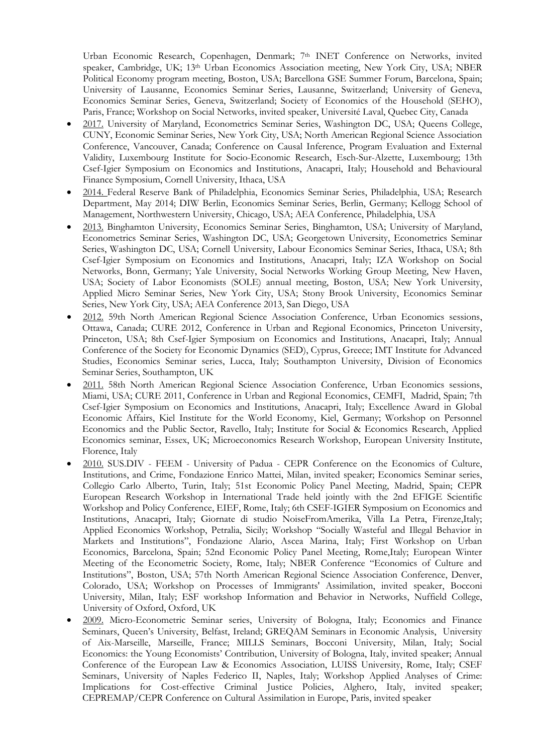Urban Economic Research, Copenhagen, Denmark; 7th INET Conference on Networks, invited speaker, Cambridge, UK; 13th Urban Economics Association meeting, New York City, USA; NBER Political Economy program meeting, Boston, USA; Barcellona GSE Summer Forum, Barcelona, Spain; University of Lausanne, Economics Seminar Series, Lausanne, Switzerland; University of Geneva, Economics Seminar Series, Geneva, Switzerland; Society of Economics of the Household (SEHO), Paris, France; Workshop on Social Networks, invited speaker, Université Laval, Quebec City, Canada

- 2017. University of Maryland, Econometrics Seminar Series, Washington DC, USA; Queens College, CUNY, Economic Seminar Series, New York City, USA; North American Regional Science Association Conference, Vancouver, Canada; Conference on Causal Inference, Program Evaluation and External Validity, Luxembourg Institute for Socio-Economic Research, Esch-Sur-Alzette, Luxembourg; 13th Csef-Igier Symposium on Economics and Institutions, Anacapri, Italy; Household and Behavioural Finance Symposium, Cornell University, Ithaca, USA
- 2014. Federal Reserve Bank of Philadelphia, Economics Seminar Series, Philadelphia, USA; Research Department, May 2014; DIW Berlin, Economics Seminar Series, Berlin, Germany; Kellogg School of Management, Northwestern University, Chicago, USA; AEA Conference, Philadelphia, USA
- 2013. Binghamton University, Economics Seminar Series, Binghamton, USA; University of Maryland, Econometrics Seminar Series, Washington DC, USA; Georgetown University, Econometrics Seminar Series, Washington DC, USA; Cornell University, Labour Economics Seminar Series, Ithaca, USA; 8th Csef-Igier Symposium on Economics and Institutions, Anacapri, Italy; IZA Workshop on Social Networks, Bonn, Germany; Yale University, Social Networks Working Group Meeting, New Haven, USA; Society of Labor Economists (SOLE) annual meeting, Boston, USA; New York University, Applied Micro Seminar Series, New York City, USA; Stony Brook University, Economics Seminar Series, New York City, USA; AEA Conference 2013, San Diego, USA
- 2012. 59th North American Regional Science Association Conference, Urban Economics sessions, Ottawa, Canada; CURE 2012, Conference in Urban and Regional Economics, Princeton University, Princeton, USA; 8th Csef-Igier Symposium on Economics and Institutions, Anacapri, Italy; Annual Conference of the Society for Economic Dynamics (SED), Cyprus, Greece; IMT Institute for Advanced Studies, Economics Seminar series, Lucca, Italy; Southampton University, Division of Economics Seminar Series, Southampton, UK
- 2011. 58th North American Regional Science Association Conference, Urban Economics sessions, Miami, USA; CURE 2011, Conference in Urban and Regional Economics, CEMFI, Madrid, Spain; 7th Csef-Igier Symposium on Economics and Institutions, Anacapri, Italy; Excellence Award in Global Economic Affairs, Kiel Institute for the World Economy, Kiel, Germany; Workshop on Personnel Economics and the Public Sector, Ravello, Italy; Institute for Social & Economics Research, Applied Economics seminar, Essex, UK; Microeconomics Research Workshop, European University Institute, Florence, Italy
- 2010. SUS.DIV FEEM University of Padua CEPR Conference on the Economics of Culture, Institutions, and Crime, Fondazione Enrico Mattei, Milan, invited speaker; Economics Seminar series, Collegio Carlo Alberto, Turin, Italy; 51st Economic Policy Panel Meeting, Madrid, Spain; CEPR European Research Workshop in International Trade held jointly with the 2nd EFIGE Scientific Workshop and Policy Conference, EIEF, Rome, Italy; 6th CSEF-IGIER Symposium on Economics and Institutions, Anacapri, Italy; Giornate di studio NoiseFromAmerika, Villa La Petra, Firenze,Italy; Applied Economics Workshop, Petralia, Sicily; Workshop "Socially Wasteful and Illegal Behavior in Markets and Institutions", Fondazione Alario, Ascea Marina, Italy; First Workshop on Urban Economics, Barcelona, Spain; 52nd Economic Policy Panel Meeting, Rome,Italy; European Winter Meeting of the Econometric Society, Rome, Italy; [NBER Conference "Economics of Culture and](http://www.nber.org/confer/2010/CIf10/CIf10prg.html)  [Institutions"](http://www.nber.org/confer/2010/CIf10/CIf10prg.html), Boston, USA; 57th North American Regional Science Association Conference, Denver, Colorado, USA; Workshop on Processes of Immigrants' Assimilation, invited speaker, Bocconi University, Milan, Italy; ESF workshop Information and Behavior in Networks, Nuffield College, University of Oxford, Oxford, UK
- 2009. Micro-Econometric Seminar series, University of Bologna, Italy; Economics and Finance Seminars, Queen's University, Belfast, Ireland; GREQAM Seminars in Economic Analysis, University of Aix-Marseille, Marseille, France; MILLS Seminars, Bocconi University, Milan, Italy; Social Economics: the Young Economists' Contribution, University of Bologna, Italy, invited speaker; Annual Conference of the European Law & Economics Association, LUISS University, Rome, Italy; CSEF Seminars, University of Naples Federico II, Naples, Italy; Workshop Applied Analyses of Crime: Implications for Cost-effective Criminal Justice Policies, Alghero, Italy, invited speaker; CEPREMAP/CEPR Conference on Cultural Assimilation in Europe, Paris, invited speaker